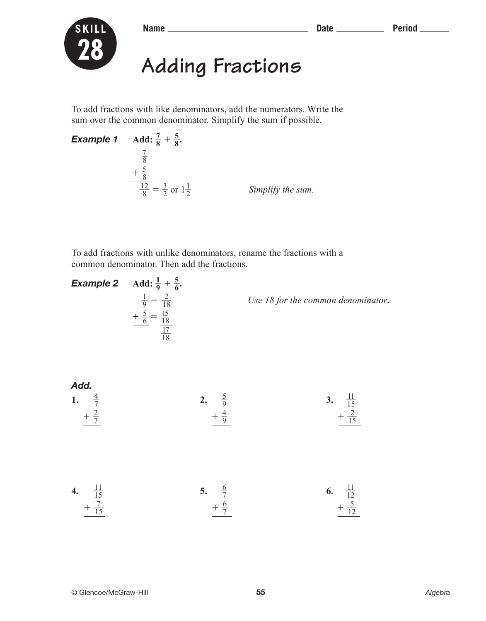

**Name Date Period**



## **Adding Fractions**

To add fractions with like denominators, add the numerators. Write the sum over the common denominator. Simplify the sum if possible.

*Example 1* **Add: 7**  $\frac{7}{8} + \frac{5}{8}$  $\frac{5}{8}$  8  $\frac{7}{\circ}$  $+\frac{5}{8}$  $\frac{5}{5}$  $\frac{1}{\epsilon}$ 8  $\frac{2}{3} = \frac{3}{2}$  $\frac{3}{2}$  or  $1\frac{1}{2}$ 2 *Simplify the sum.*

To add fractions with unlike denominators, rename the fractions with a common denominator. Then add the fractions.

**Example 2** Add: 
$$
\frac{1}{9} + \frac{5}{6}
$$
.  
\n
$$
\frac{1}{9} = \frac{2}{18}
$$
\n
$$
+ \frac{5}{6} = \frac{15}{18}
$$
\nUse 18 for the common denominator.  
\n
$$
\frac{1}{18}
$$

Add.  
\n1. 
$$
\frac{4}{7}
$$
  
\n $+\frac{2}{7}$   
\n $+\frac{4}{9}$   
\n2.  $\frac{5}{9}$   
\n3.  $\frac{11}{15}$   
\n $+\frac{2}{15}$   
\n4.  $\frac{11}{15}$   
\n $+\frac{7}{15}$   
\n5.  $\frac{6}{7}$   
\n6.  $\frac{11}{12}$   
\n $+\frac{7}{15}$   
\n $+\frac{6}{7}$   
\n6.  $\frac{11}{12}$   
\n $+\frac{5}{12}$